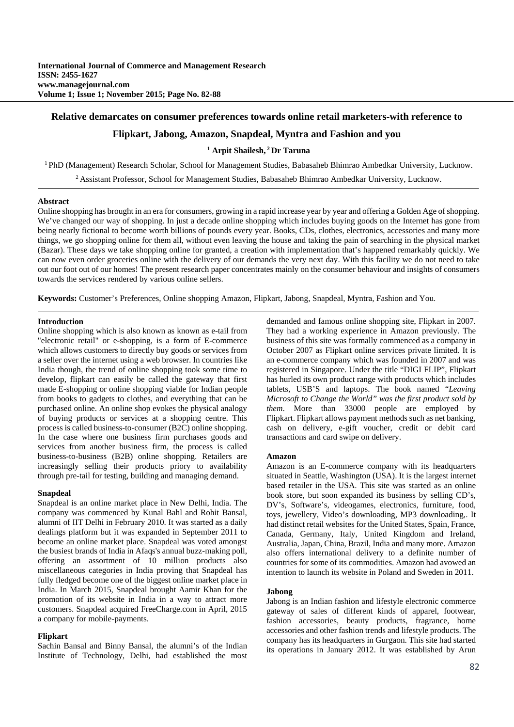# **Relative demarcates on consumer preferences towards online retail marketers-with reference to**

# **Flipkart, Jabong, Amazon, Snapdeal, Myntra and Fashion and you**

### **1 Arpit Shailesh, 2 Dr Taruna**

1 PhD (Management) Research Scholar, School for Management Studies, Babasaheb Bhimrao Ambedkar University, Lucknow.

2 Assistant Professor, School for Management Studies, Babasaheb Bhimrao Ambedkar University, Lucknow.

#### **Abstract**

Online shopping has brought in an era for consumers, growing in a rapid increase year by year and offering a Golden Age of shopping. We've changed our way of shopping. In just a decade online shopping which includes buying goods on the Internet has gone from being nearly fictional to become worth billions of pounds every year. Books, CDs, clothes, electronics, accessories and many more things, we go shopping online for them all, without even leaving the house and taking the pain of searching in the physical market (Bazar). These days we take shopping online for granted, a creation with implementation that's happened remarkably quickly. We can now even order groceries online with the delivery of our demands the very next day. With this facility we do not need to take out our foot out of our homes! The present research paper concentrates mainly on the consumer behaviour and insights of consumers towards the services rendered by various online sellers.

**Keywords:** Customer's Preferences, Online shopping Amazon, Flipkart, Jabong, Snapdeal, Myntra, Fashion and You.

### **Introduction**

Online shopping which is also known as known as e-tail from "electronic retail" or e-shopping, is a form of E-commerce which allows customers to directly buy goods or services from a seller over the internet using a web browser. In countries like India though, the trend of online shopping took some time to develop, flipkart can easily be called the gateway that first made E-shopping or online shopping viable for Indian people from books to gadgets to clothes, and everything that can be purchased online. An online shop evokes the physical analogy of buying products or services at a shopping centre. This process is called business-to-consumer (B2C) online shopping. In the case where one business firm purchases goods and services from another business firm, the process is called business-to-business (B2B) online shopping. Retailers are increasingly selling their products priory to availability through pre-tail for testing, building and managing demand.

#### **Snapdeal**

Snapdeal is an online market place in New Delhi, India. The company was commenced by Kunal Bahl and Rohit Bansal, alumni of IIT Delhi in February 2010. It was started as a daily dealings platform but it was expanded in September 2011 to become an online market place. Snapdeal was voted amongst the busiest brands of India in Afaqs's annual buzz-making poll, offering an assortment of 10 million products also miscellaneous categories in India proving that Snapdeal has fully fledged become one of the biggest online market place in India. In March 2015, Snapdeal brought Aamir Khan for the promotion of its website in India in a way to attract more customers. Snapdeal acquired FreeCharge.com in April, 2015 a company for mobile-payments.

### **Flipkart**

Sachin Bansal and Binny Bansal, the alumni's of the Indian Institute of Technology, Delhi, had established the most demanded and famous online shopping site, Flipkart in 2007. They had a working experience in Amazon previously. The business of this site was formally commenced as a company in October 2007 as Flipkart online services private limited. It is an e-commerce company which was founded in 2007 and was registered in Singapore. Under the title "DIGI FLIP", Flipkart has hurled its own product range with products which includes tablets, USB'S and laptops. The book named "*Leaving Microsoft to Change the World" was the first product sold by them*. More than 33000 people are employed by Flipkart. Flipkart allows payment methods such as net banking, cash on delivery, e-gift voucher, credit or debit card transactions and card swipe on delivery.

#### **Amazon**

Amazon is an E-commerce company with its headquarters situated in Seattle, Washington (USA). It is the largest internet based retailer in the USA. This site was started as an online book store, but soon expanded its business by selling CD's, DV's, Software's, videogames, electronics, furniture, food, toys, jewellery, Video's downloading, MP3 downloading,. It had distinct retail websites for the United States, Spain, France, Canada, Germany, Italy, United Kingdom and Ireland, Australia, Japan, China, Brazil, India and many more. Amazon also offers international delivery to a definite number of countries for some of its commodities. Amazon had avowed an intention to launch its website in Poland and Sweden in 2011.

### **Jabong**

Jabong is an Indian fashion and lifestyle electronic commerce gateway of sales of different kinds of apparel, footwear, fashion accessories, beauty products, fragrance, home accessories and other fashion trends and lifestyle products. The company has its headquarters in Gurgaon. This site had started its operations in January 2012. It was established by Arun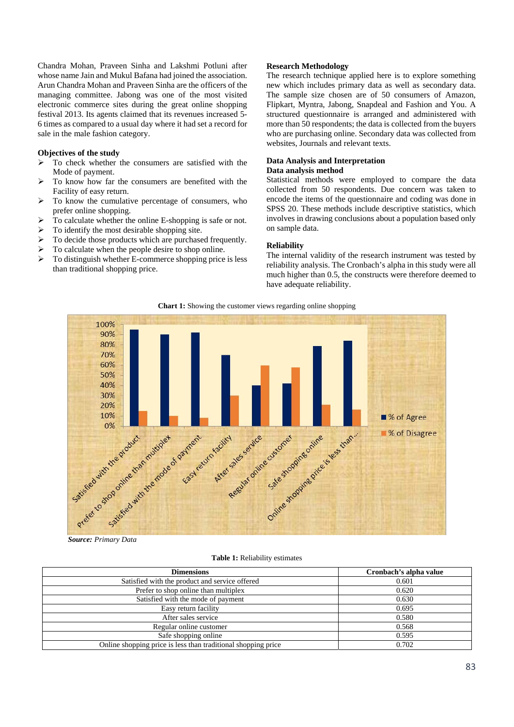Chandra Mohan, Praveen Sinha and Lakshmi Potluni after whose name Jain and Mukul Bafana had joined the association. Arun Chandra Mohan and Praveen Sinha are the officers of the managing committee. Jabong was one of the most visited electronic commerce sites during the great online shopping festival 2013. Its agents claimed that its revenues increased 5- 6 times as compared to a usual day where it had set a record for sale in the male fashion category.

### **Objectives of the study**

- $\triangleright$  To check whether the consumers are satisfied with the Mode of payment.
- $\triangleright$  To know how far the consumers are benefited with the Facility of easy return.
- $\triangleright$  To know the cumulative percentage of consumers, who prefer online shopping.
- $\triangleright$  To calculate whether the online E-shopping is safe or not.
- $\triangleright$  To identify the most desirable shopping site.
- $\triangleright$  To decide those products which are purchased frequently.
- $\triangleright$  To calculate when the people desire to shop online.
- $\triangleright$  To distinguish whether E-commerce shopping price is less than traditional shopping price.

#### **Research Methodology**

The research technique applied here is to explore something new which includes primary data as well as secondary data. The sample size chosen are of 50 consumers of Amazon, Flipkart, Myntra, Jabong, Snapdeal and Fashion and You. A structured questionnaire is arranged and administered with more than 50 respondents; the data is collected from the buyers who are purchasing online. Secondary data was collected from websites, Journals and relevant texts.

#### **Data Analysis and Interpretation Data analysis method**

Statistical methods were employed to compare the data collected from 50 respondents. Due concern was taken to encode the items of the questionnaire and coding was done in SPSS 20. These methods include descriptive statistics, which involves in drawing conclusions about a population based only on sample data.

## **Reliability**

The internal validity of the research instrument was tested by reliability analysis. The Cronbach's alpha in this study were all much higher than 0.5, the constructs were therefore deemed to have adequate reliability.

**Chart 1:** Showing the customer views regarding online shopping



*Source: Primary Data*

**Table 1:** Reliability estimates

| <b>Dimensions</b>                                             | Cronbach's alpha value |  |  |
|---------------------------------------------------------------|------------------------|--|--|
| Satisfied with the product and service offered                | 0.601                  |  |  |
| Prefer to shop online than multiplex                          | 0.620                  |  |  |
| Satisfied with the mode of payment                            | 0.630                  |  |  |
| Easy return facility                                          | 0.695                  |  |  |
| After sales service                                           | 0.580                  |  |  |
| Regular online customer                                       | 0.568                  |  |  |
| Safe shopping online                                          | 0.595                  |  |  |
| Online shopping price is less than traditional shopping price | 0.702                  |  |  |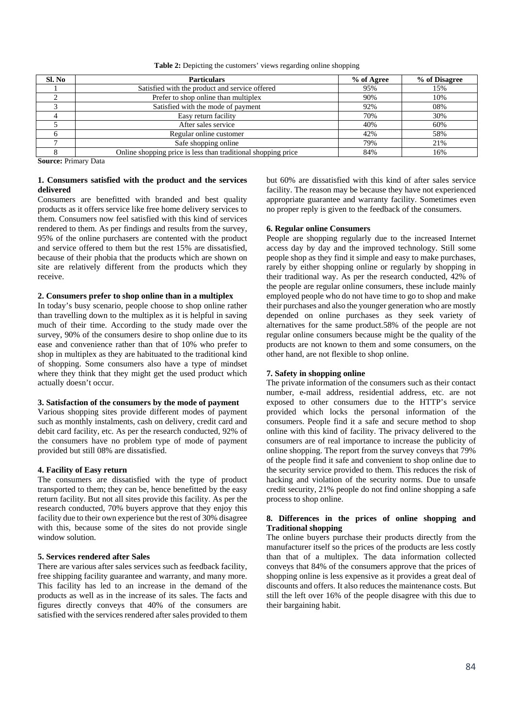**Table 2:** Depicting the customers' views regarding online shopping

| Sl. No | <b>Particulars</b>                                            | % of Agree | % of Disagree |
|--------|---------------------------------------------------------------|------------|---------------|
|        | Satisfied with the product and service offered                | 95%        | 15%           |
|        | Prefer to shop online than multiplex                          | 90%        | 10%           |
|        | Satisfied with the mode of payment                            | 92%        | 08%           |
|        | Easy return facility                                          | 70%        | 30%           |
|        | After sales service                                           | 40%        | 60%           |
|        | Regular online customer                                       | 42%        | 58%           |
|        | Safe shopping online                                          | 79%        | 21%           |
|        | Online shopping price is less than traditional shopping price | 84%        | 16%           |

**Source:** Primary Data

# **1. Consumers satisfied with the product and the services delivered**

Consumers are benefitted with branded and best quality products as it offers service like free home delivery services to them. Consumers now feel satisfied with this kind of services rendered to them. As per findings and results from the survey, 95% of the online purchasers are contented with the product and service offered to them but the rest 15% are dissatisfied, because of their phobia that the products which are shown on site are relatively different from the products which they receive.

### **2. Consumers prefer to shop online than in a multiplex**

In today's busy scenario, people choose to shop online rather than travelling down to the multiplex as it is helpful in saving much of their time. According to the study made over the survey, 90% of the consumers desire to shop online due to its ease and convenience rather than that of 10% who prefer to shop in multiplex as they are habituated to the traditional kind of shopping. Some consumers also have a type of mindset where they think that they might get the used product which actually doesn't occur.

# **3. Satisfaction of the consumers by the mode of payment**

Various shopping sites provide different modes of payment such as monthly instalments, cash on delivery, credit card and debit card facility, etc. As per the research conducted, 92% of the consumers have no problem type of mode of payment provided but still 08% are dissatisfied.

#### **4. Facility of Easy return**

The consumers are dissatisfied with the type of product transported to them; they can be, hence benefitted by the easy return facility. But not all sites provide this facility. As per the research conducted, 70% buyers approve that they enjoy this facility due to their own experience but the rest of 30% disagree with this, because some of the sites do not provide single window solution.

### **5. Services rendered after Sales**

There are various after sales services such as feedback facility, free shipping facility guarantee and warranty, and many more. This facility has led to an increase in the demand of the products as well as in the increase of its sales. The facts and figures directly conveys that 40% of the consumers are satisfied with the services rendered after sales provided to them but 60% are dissatisfied with this kind of after sales service facility. The reason may be because they have not experienced appropriate guarantee and warranty facility. Sometimes even no proper reply is given to the feedback of the consumers.

## **6. Regular online Consumers**

People are shopping regularly due to the increased Internet access day by day and the improved technology. Still some people shop as they find it simple and easy to make purchases, rarely by either shopping online or regularly by shopping in their traditional way. As per the research conducted, 42% of the people are regular online consumers, these include mainly employed people who do not have time to go to shop and make their purchases and also the younger generation who are mostly depended on online purchases as they seek variety of alternatives for the same product.58% of the people are not regular online consumers because might be the quality of the products are not known to them and some consumers, on the other hand, are not flexible to shop online.

# **7. Safety in shopping online**

The private information of the consumers such as their contact number, e-mail address, residential address, etc. are not exposed to other consumers due to the HTTP's service provided which locks the personal information of the consumers. People find it a safe and secure method to shop online with this kind of facility. The privacy delivered to the consumers are of real importance to increase the publicity of online shopping. The report from the survey conveys that 79% of the people find it safe and convenient to shop online due to the security service provided to them. This reduces the risk of hacking and violation of the security norms. Due to unsafe credit security, 21% people do not find online shopping a safe process to shop online.

# **8. Differences in the prices of online shopping and Traditional shopping**

The online buyers purchase their products directly from the manufacturer itself so the prices of the products are less costly than that of a multiplex. The data information collected conveys that 84% of the consumers approve that the prices of shopping online is less expensive as it provides a great deal of discounts and offers. It also reduces the maintenance costs. But still the left over 16% of the people disagree with this due to their bargaining habit.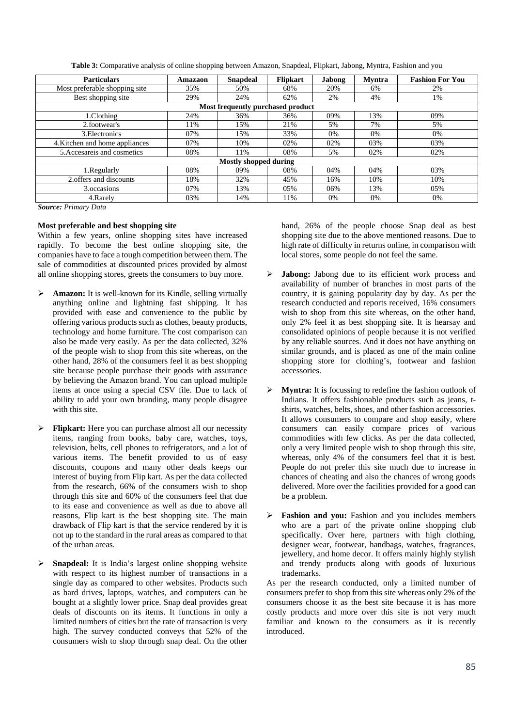| <b>Particulars</b>                | Amazaon | <b>Snapdeal</b> | <b>Flipkart</b> | <b>Jabong</b> | <b>Myntra</b> | <b>Fashion For You</b> |  |  |  |
|-----------------------------------|---------|-----------------|-----------------|---------------|---------------|------------------------|--|--|--|
| Most preferable shopping site     | 35%     | 50%             | 68%             | 20%           | 6%            | 2%                     |  |  |  |
| Best shopping site                | 29%     | 24%             | 62%             | 2%            | 4%            | 1%                     |  |  |  |
| Most frequently purchased product |         |                 |                 |               |               |                        |  |  |  |
| 1.Clothing                        | 24%     | 36%             | 36%             | 09%           | 13%           | 09%                    |  |  |  |
| 2.footwear's                      | 11%     | 15%             | 21%             | 5%            | 7%            | 5%                     |  |  |  |
| 3. Electronics                    | 07%     | 15%             | 33%             | 0%            | 0%            | 0%                     |  |  |  |
| 4. Kitchen and home appliances    | 07%     | 10%             | 02%             | 02%           | 03%           | 03%                    |  |  |  |
| 5. Accesare is and cosmetics      | 08%     | 11%             | 08%             | 5%            | 02%           | 02%                    |  |  |  |
| <b>Mostly shopped during</b>      |         |                 |                 |               |               |                        |  |  |  |
| 1. Regularly                      | 08%     | 09%             | 08%             | 04%           | 04%           | 03%                    |  |  |  |
| 2. offers and discounts           | 18%     | 32%             | 45%             | 16%           | 10%           | 10%                    |  |  |  |
| 3. occasions                      | 07%     | 13%             | 05%             | 06%           | 13%           | 05%                    |  |  |  |
| 4. Rarely                         | 03%     | 14%             | 11%             | 0%            | 0%            | 0%                     |  |  |  |

**Table 3:** Comparative analysis of online shopping between Amazon, Snapdeal, Flipkart, Jabong, Myntra, Fashion and you

*Source: Primary Data*

# **Most preferable and best shopping site**

Within a few years, online shopping sites have increased rapidly. To become the best online shopping site, the companies have to face a tough competition between them. The sale of commodities at discounted prices provided by almost all online shopping stores, greets the consumers to buy more.

- **Amazon:** It is well-known for its Kindle, selling virtually anything online and lightning fast shipping. It has provided with ease and convenience to the public by offering various products such as clothes, beauty products, technology and home furniture. The cost comparison can also be made very easily. As per the data collected, 32% of the people wish to shop from this site whereas, on the other hand, 28% of the consumers feel it as best shopping site because people purchase their goods with assurance by believing the Amazon brand. You can upload multiple items at once using a special CSV file. Due to lack of ability to add your own branding, many people disagree with this site.
- **Flipkart:** Here you can purchase almost all our necessity items, ranging from books, baby care, watches, toys, television, belts, cell phones to refrigerators, and a lot of various items. The benefit provided to us of easy discounts, coupons and many other deals keeps our interest of buying from Flip kart. As per the data collected from the research, 66% of the consumers wish to shop through this site and 60% of the consumers feel that due to its ease and convenience as well as due to above all reasons, Flip kart is the best shopping site. The main drawback of Flip kart is that the service rendered by it is not up to the standard in the rural areas as compared to that of the urban areas.
- **Snapdeal:** It is India's largest online shopping website with respect to its highest number of transactions in a single day as compared to other websites. Products such as hard drives, laptops, watches, and computers can be bought at a slightly lower price. Snap deal provides great deals of discounts on its items. It functions in only a limited numbers of cities but the rate of transaction is very high. The survey conducted conveys that 52% of the consumers wish to shop through snap deal. On the other

hand, 26% of the people choose Snap deal as best shopping site due to the above mentioned reasons. Due to high rate of difficulty in returns online, in comparison with local stores, some people do not feel the same.

- **Jabong:** Jabong due to its efficient work process and availability of number of branches in most parts of the country, it is gaining popularity day by day. As per the research conducted and reports received, 16% consumers wish to shop from this site whereas, on the other hand, only 2% feel it as best shopping site. It is hearsay and consolidated opinions of people because it is not verified by any reliable sources. And it does not have anything on similar grounds, and is placed as one of the main online shopping store for clothing's, footwear and fashion accessories.
- **Myntra:** It is focussing to redefine the fashion outlook of Indians. It offers fashionable products such as jeans, tshirts, watches, belts, shoes, and other fashion accessories. It allows consumers to compare and shop easily, where consumers can easily compare prices of various commodities with few clicks. As per the data collected, only a very limited people wish to shop through this site, whereas, only 4% of the consumers feel that it is best. People do not prefer this site much due to increase in chances of cheating and also the chances of wrong goods delivered. More over the facilities provided for a good can be a problem.
- Fashion and you: Fashion and you includes members who are a part of the private online shopping club specifically. Over here, partners with high clothing, designer wear, footwear, handbags, watches, fragrances, jewellery, and home decor. It offers mainly highly stylish and trendy products along with goods of luxurious trademarks.

As per the research conducted, only a limited number of consumers prefer to shop from this site whereas only 2% of the consumers choose it as the best site because it is has more costly products and more over this site is not very much familiar and known to the consumers as it is recently introduced.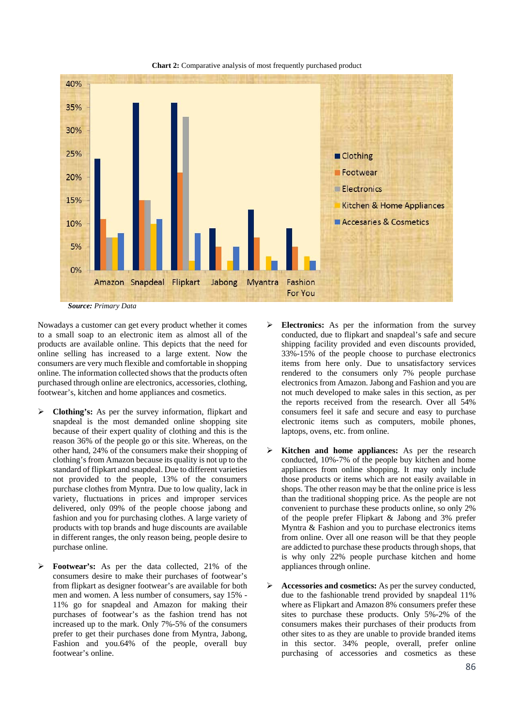

**Chart 2:** Comparative analysis of most frequently purchased product

*Source: Primary Data*

Nowadays a customer can get every product whether it comes to a small soap to an electronic item as almost all of the products are available online. This depicts that the need for online selling has increased to a large extent. Now the consumers are very much flexible and comfortable in shopping online. The information collected shows that the products often purchased through online are electronics, accessories, clothing, footwear's, kitchen and home appliances and cosmetics.

- **Clothing's:** As per the survey information, flipkart and snapdeal is the most demanded online shopping site because of their expert quality of clothing and this is the reason 36% of the people go or this site. Whereas, on the other hand, 24% of the consumers make their shopping of clothing's from Amazon because its quality is not up to the standard of flipkart and snapdeal. Due to different varieties not provided to the people, 13% of the consumers purchase clothes from Myntra. Due to low quality, lack in variety, fluctuations in prices and improper services delivered, only 09% of the people choose jabong and fashion and you for purchasing clothes. A large variety of products with top brands and huge discounts are available in different ranges, the only reason being, people desire to purchase online.
- **Footwear's:** As per the data collected, 21% of the consumers desire to make their purchases of footwear's from flipkart as designer footwear's are available for both men and women. A less number of consumers, say 15% - 11% go for snapdeal and Amazon for making their purchases of footwear's as the fashion trend has not increased up to the mark. Only 7%-5% of the consumers prefer to get their purchases done from Myntra, Jabong, Fashion and you.64% of the people, overall buy footwear's online.
- **Electronics:** As per the information from the survey conducted, due to flipkart and snapdeal's safe and secure shipping facility provided and even discounts provided, 33%-15% of the people choose to purchase electronics items from here only. Due to unsatisfactory services rendered to the consumers only 7% people purchase electronics from Amazon. Jabong and Fashion and you are not much developed to make sales in this section, as per the reports received from the research. Over all 54% consumers feel it safe and secure and easy to purchase electronic items such as computers, mobile phones, laptops, ovens, etc. from online.
- **Kitchen and home appliances:** As per the research conducted, 10%-7% of the people buy kitchen and home appliances from online shopping. It may only include those products or items which are not easily available in shops. The other reason may be that the online price is less than the traditional shopping price. As the people are not convenient to purchase these products online, so only 2% of the people prefer Flipkart & Jabong and 3% prefer Myntra & Fashion and you to purchase electronics items from online. Over all one reason will be that they people are addicted to purchase these products through shops, that is why only 22% people purchase kitchen and home appliances through online.
- **Accessories and cosmetics:** As per the survey conducted, due to the fashionable trend provided by snapdeal 11% where as Flipkart and Amazon 8% consumers prefer these sites to purchase these products. Only 5%-2% of the consumers makes their purchases of their products from other sites to as they are unable to provide branded items in this sector. 34% people, overall, prefer online purchasing of accessories and cosmetics as these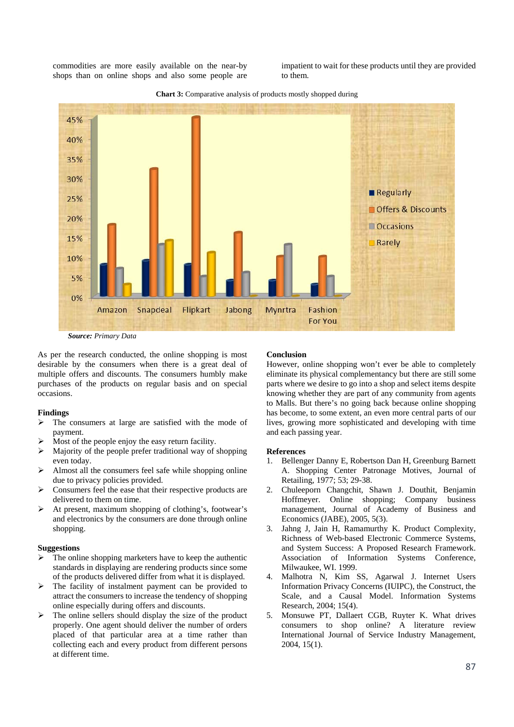commodities are more easily available on the near-by shops than on online shops and also some people are impatient to wait for these products until they are provided to them.



**Chart 3:** Comparative analysis of products mostly shopped during

*Source: Primary Data*

As per the research conducted, the online shopping is most desirable by the consumers when there is a great deal of multiple offers and discounts. The consumers humbly make purchases of the products on regular basis and on special occasions.

# **Findings**

- $\triangleright$  The consumers at large are satisfied with the mode of payment.
- Most of the people enjoy the easy return facility.
- $\triangleright$  Majority of the people prefer traditional way of shopping even today.
- $\triangleright$  Almost all the consumers feel safe while shopping online due to privacy policies provided.
- Consumers feel the ease that their respective products are delivered to them on time.
- $\triangleright$  At present, maximum shopping of clothing's, footwear's and electronics by the consumers are done through online shopping.

### **Suggestions**

- $\triangleright$  The online shopping marketers have to keep the authentic standards in displaying are rendering products since some of the products delivered differ from what it is displayed.
- $\triangleright$  The facility of instalment payment can be provided to attract the consumers to increase the tendency of shopping online especially during offers and discounts.
- $\triangleright$  The online sellers should display the size of the product properly. One agent should deliver the number of orders placed of that particular area at a time rather than collecting each and every product from different persons at different time.

## **Conclusion**

However, online shopping won't ever be able to completely eliminate its physical complementancy but there are still some parts where we desire to go into a shop and select items despite knowing whether they are part of any community from agents to Malls. But there's no going back because online shopping has become, to some extent, an even more central parts of our lives, growing more sophisticated and developing with time and each passing year.

#### **References**

- 1. Bellenger Danny E, Robertson Dan H, Greenburg Barnett A. Shopping Center Patronage Motives, Journal of Retailing, 1977; 53; 29-38.
- 2. Chuleeporn Changchit, Shawn J. Douthit, Benjamin Hoffmeyer. Online shopping; Company business management, Journal of Academy of Business and Economics (JABE), 2005, 5(3).
- 3. Jahng J, Jain H, Ramamurthy K. Product Complexity, Richness of Web-based Electronic Commerce Systems, and System Success: A Proposed Research Framework. Association of Information Systems Conference, Milwaukee, WI. 1999.
- 4. Malhotra N, Kim SS, Agarwal J. Internet Users Information Privacy Concerns (IUIPC), the Construct, the Scale, and a Causal Model. Information Systems Research, 2004; 15(4).
- 5. Monsuwe PT, Dallaert CGB, Ruyter K. What drives consumers to shop online? A literature review International Journal of Service Industry Management, 2004, 15(1).